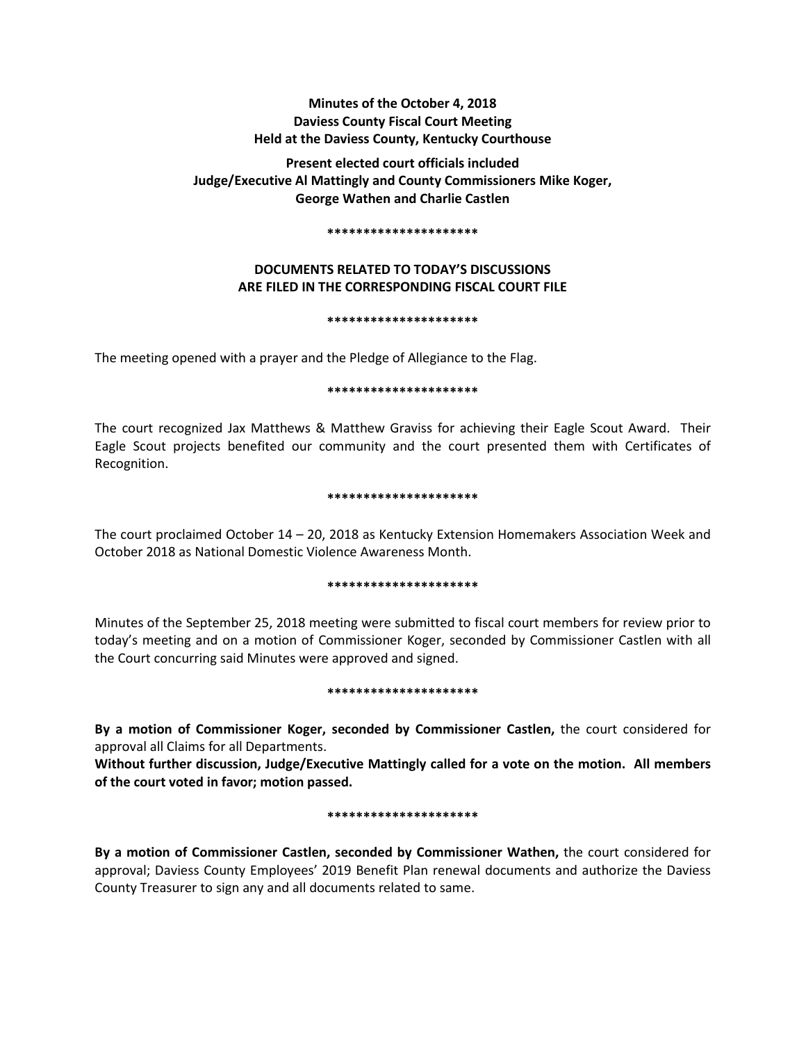# **Minutes of the October 4, 2018 Daviess County Fiscal Court Meeting Held at the Daviess County, Kentucky Courthouse**

**Present elected court officials included Judge/Executive Al Mattingly and County Commissioners Mike Koger, George Wathen and Charlie Castlen** 

#### **\*\*\*\*\*\*\*\*\*\*\*\*\*\*\*\*\*\*\*\*\***

# **DOCUMENTS RELATED TO TODAY'S DISCUSSIONS ARE FILED IN THE CORRESPONDING FISCAL COURT FILE**

## **\*\*\*\*\*\*\*\*\*\*\*\*\*\*\*\*\*\*\*\*\***

The meeting opened with a prayer and the Pledge of Allegiance to the Flag.

## **\*\*\*\*\*\*\*\*\*\*\*\*\*\*\*\*\*\*\*\*\***

The court recognized Jax Matthews & Matthew Graviss for achieving their Eagle Scout Award. Their Eagle Scout projects benefited our community and the court presented them with Certificates of Recognition.

## **\*\*\*\*\*\*\*\*\*\*\*\*\*\*\*\*\*\*\*\*\***

The court proclaimed October 14 – 20, 2018 as Kentucky Extension Homemakers Association Week and October 2018 as National Domestic Violence Awareness Month.

## **\*\*\*\*\*\*\*\*\*\*\*\*\*\*\*\*\*\*\*\*\***

Minutes of the September 25, 2018 meeting were submitted to fiscal court members for review prior to today's meeting and on a motion of Commissioner Koger, seconded by Commissioner Castlen with all the Court concurring said Minutes were approved and signed.

#### **\*\*\*\*\*\*\*\*\*\*\*\*\*\*\*\*\*\*\*\*\***

**By a motion of Commissioner Koger, seconded by Commissioner Castlen,** the court considered for approval all Claims for all Departments.

**Without further discussion, Judge/Executive Mattingly called for a vote on the motion. All members of the court voted in favor; motion passed.** 

## **\*\*\*\*\*\*\*\*\*\*\*\*\*\*\*\*\*\*\*\*\***

**By a motion of Commissioner Castlen, seconded by Commissioner Wathen,** the court considered for approval; Daviess County Employees' 2019 Benefit Plan renewal documents and authorize the Daviess County Treasurer to sign any and all documents related to same.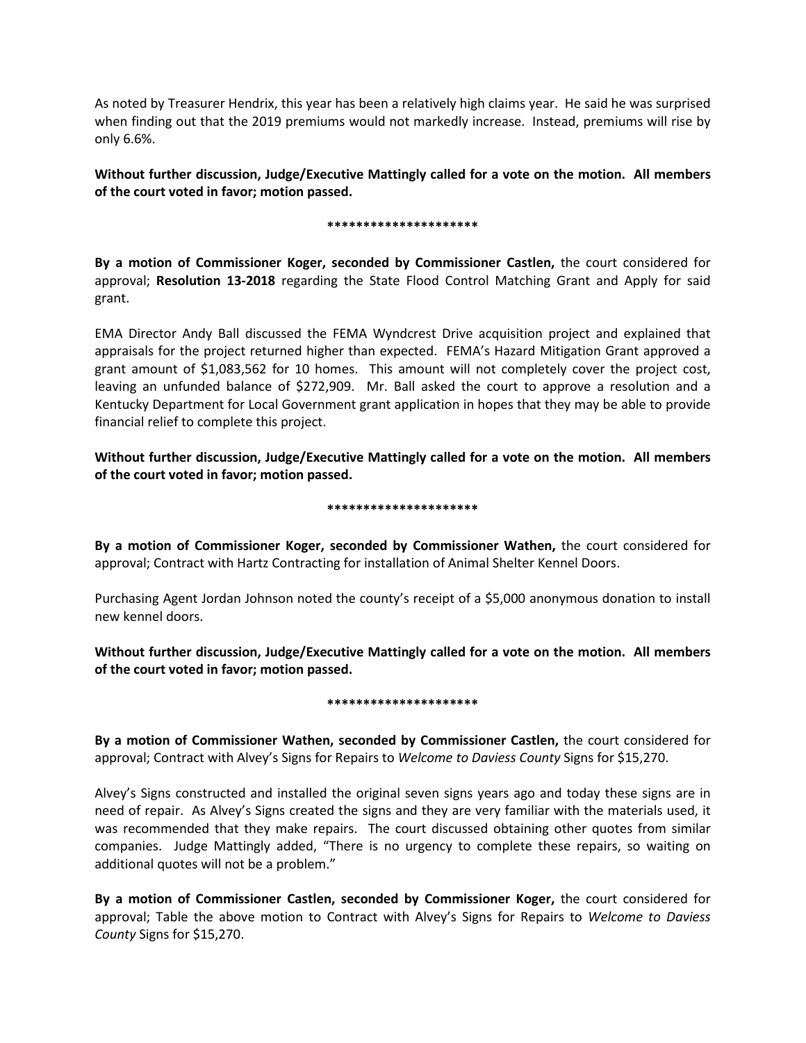As noted by Treasurer Hendrix, this year has been a relatively high claims year. He said he was surprised when finding out that the 2019 premiums would not markedly increase. Instead, premiums will rise by only 6.6%.

**Without further discussion, Judge/Executive Mattingly called for a vote on the motion. All members of the court voted in favor; motion passed.** 

## **\*\*\*\*\*\*\*\*\*\*\*\*\*\*\*\*\*\*\*\*\***

**By a motion of Commissioner Koger, seconded by Commissioner Castlen,** the court considered for approval; **Resolution 13-2018** regarding the State Flood Control Matching Grant and Apply for said grant.

EMA Director Andy Ball discussed the FEMA Wyndcrest Drive acquisition project and explained that appraisals for the project returned higher than expected. FEMA's Hazard Mitigation Grant approved a grant amount of \$1,083,562 for 10 homes. This amount will not completely cover the project cost, leaving an unfunded balance of \$272,909. Mr. Ball asked the court to approve a resolution and a Kentucky Department for Local Government grant application in hopes that they may be able to provide financial relief to complete this project.

**Without further discussion, Judge/Executive Mattingly called for a vote on the motion. All members of the court voted in favor; motion passed.** 

## **\*\*\*\*\*\*\*\*\*\*\*\*\*\*\*\*\*\*\*\*\***

**By a motion of Commissioner Koger, seconded by Commissioner Wathen,** the court considered for approval; Contract with Hartz Contracting for installation of Animal Shelter Kennel Doors.

Purchasing Agent Jordan Johnson noted the county's receipt of a \$5,000 anonymous donation to install new kennel doors.

**Without further discussion, Judge/Executive Mattingly called for a vote on the motion. All members of the court voted in favor; motion passed.** 

## **\*\*\*\*\*\*\*\*\*\*\*\*\*\*\*\*\*\*\*\*\***

**By a motion of Commissioner Wathen, seconded by Commissioner Castlen,** the court considered for approval; Contract with Alvey's Signs for Repairs to *Welcome to Daviess County* Signs for \$15,270.

Alvey's Signs constructed and installed the original seven signs years ago and today these signs are in need of repair. As Alvey's Signs created the signs and they are very familiar with the materials used, it was recommended that they make repairs. The court discussed obtaining other quotes from similar companies. Judge Mattingly added, "There is no urgency to complete these repairs, so waiting on additional quotes will not be a problem."

**By a motion of Commissioner Castlen, seconded by Commissioner Koger,** the court considered for approval; Table the above motion to Contract with Alvey's Signs for Repairs to *Welcome to Daviess County* Signs for \$15,270.